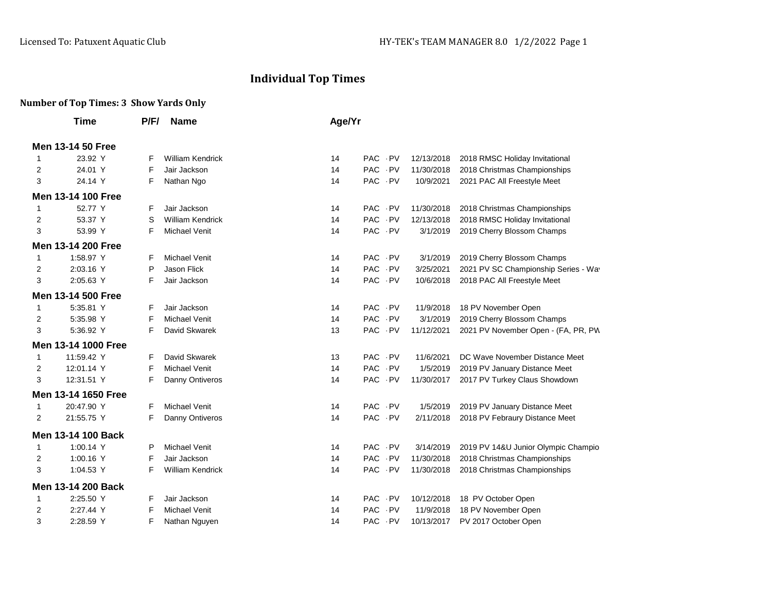## **Individual Top Times**

## **Number of Top Times: 3 Show Yards Only**

|              | Time                | P/F/ | <b>Name</b>             | Age/Yr |          |  |            |                                      |
|--------------|---------------------|------|-------------------------|--------|----------|--|------------|--------------------------------------|
|              | Men 13-14 50 Free   |      |                         |        |          |  |            |                                      |
| 1            | 23.92 Y             | F    | <b>William Kendrick</b> | 14     | PAC PV   |  | 12/13/2018 | 2018 RMSC Holiday Invitational       |
| 2            | 24.01 Y             | F    | Jair Jackson            | 14     | PAC PV   |  | 11/30/2018 | 2018 Christmas Championships         |
| 3            | 24.14 Y             | F    | Nathan Ngo              | 14     | PAC PV   |  | 10/9/2021  | 2021 PAC All Freestyle Meet          |
|              | Men 13-14 100 Free  |      |                         |        |          |  |            |                                      |
| 1            | 52.77 Y             | F    | Jair Jackson            | 14     | PAC PV   |  | 11/30/2018 | 2018 Christmas Championships         |
| 2            | 53.37 Y             | S    | <b>William Kendrick</b> | 14     | PAC PV   |  | 12/13/2018 | 2018 RMSC Holiday Invitational       |
| 3            | 53.99 Y             | F    | <b>Michael Venit</b>    | 14     | PAC PV   |  | 3/1/2019   | 2019 Cherry Blossom Champs           |
|              | Men 13-14 200 Free  |      |                         |        |          |  |            |                                      |
| 1            | 1:58.97 Y           | F    | <b>Michael Venit</b>    | 14     | PAC PV   |  | 3/1/2019   | 2019 Cherry Blossom Champs           |
| 2            | 2:03.16 Y           | P    | Jason Flick             | 14     | PAC PV   |  | 3/25/2021  | 2021 PV SC Championship Series - Wav |
| 3            | 2:05.63 Y           | F    | Jair Jackson            | 14     | PAC PV   |  | 10/6/2018  | 2018 PAC All Freestyle Meet          |
|              | Men 13-14 500 Free  |      |                         |        |          |  |            |                                      |
| $\mathbf{1}$ | 5:35.81 Y           | F    | Jair Jackson            | 14     | PAC PV   |  | 11/9/2018  | 18 PV November Open                  |
| 2            | 5:35.98 Y           | F    | <b>Michael Venit</b>    | 14     | PAC - PV |  | 3/1/2019   | 2019 Cherry Blossom Champs           |
| 3            | 5:36.92 Y           | F    | David Skwarek           | 13     | PAC PV   |  | 11/12/2021 | 2021 PV November Open - (FA, PR, PW  |
|              | Men 13-14 1000 Free |      |                         |        |          |  |            |                                      |
| 1            | 11:59.42 Y          | F    | David Skwarek           | 13     | PAC PV   |  | 11/6/2021  | DC Wave November Distance Meet       |
| 2            | 12:01.14 Y          | F    | <b>Michael Venit</b>    | 14     | PAC - PV |  | 1/5/2019   | 2019 PV January Distance Meet        |
| 3            | 12:31.51 Y          | F    | Danny Ontiveros         | 14     | PAC PV   |  | 11/30/2017 | 2017 PV Turkey Claus Showdown        |
|              | Men 13-14 1650 Free |      |                         |        |          |  |            |                                      |
| 1            | 20:47.90 Y          | F    | <b>Michael Venit</b>    | 14     | PAC PV   |  | 1/5/2019   | 2019 PV January Distance Meet        |
| 2            | 21:55.75 Y          | F    | Danny Ontiveros         | 14     | PAC PV   |  | 2/11/2018  | 2018 PV Febraury Distance Meet       |
|              | Men 13-14 100 Back  |      |                         |        |          |  |            |                                      |
| 1            | 1:00.14 Y           | P    | <b>Michael Venit</b>    | 14     | PAC PV   |  | 3/14/2019  | 2019 PV 14&U Junior Olympic Champio  |
| 2            | 1:00.16 Y           | F    | Jair Jackson            | 14     | PAC PV   |  | 11/30/2018 | 2018 Christmas Championships         |
| 3            | 1:04.53 Y           | F    | <b>William Kendrick</b> | 14     | PAC PV   |  | 11/30/2018 | 2018 Christmas Championships         |
|              | Men 13-14 200 Back  |      |                         |        |          |  |            |                                      |
| 1            | 2:25.50 Y           | F    | Jair Jackson            | 14     | PAC PV   |  | 10/12/2018 | 18 PV October Open                   |
| 2            | 2:27.44 Y           | F    | <b>Michael Venit</b>    | 14     | PAC PV   |  | 11/9/2018  | 18 PV November Open                  |
| 3            | 2:28.59 Y           | F    | Nathan Nguyen           | 14     | PAC PV   |  | 10/13/2017 | PV 2017 October Open                 |